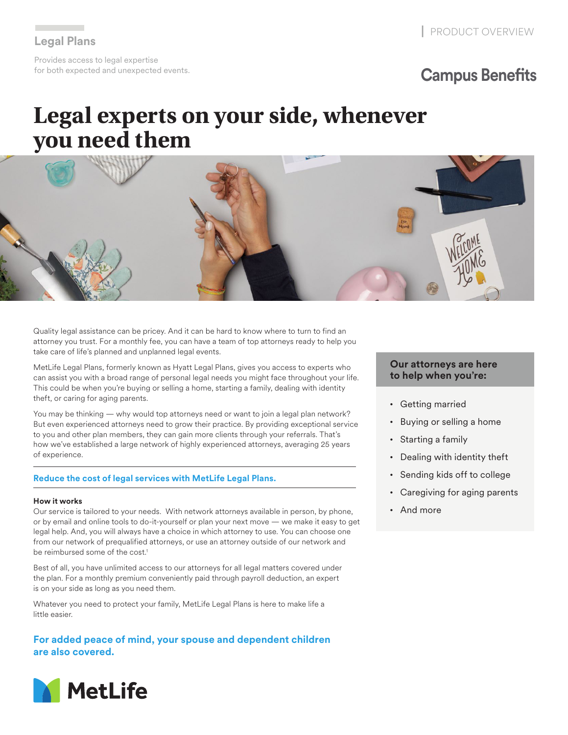**Legal Plans** Provides access to legal expertise for both expected and unexpected events.

## **Campus Benefits**

# **Legal experts on your side, whenever you need them**



Quality legal assistance can be pricey. And it can be hard to know where to turn to find an attorney you trust. For a monthly fee, you can have a team of top attorneys ready to help you take care of life's planned and unplanned legal events.

MetLife Legal Plans, formerly known as Hyatt Legal Plans, gives you access to experts who can assist you with a broad range of personal legal needs you might face throughout your life. This could be when you're buying or selling a home, starting a family, dealing with identity theft, or caring for aging parents.

You may be thinking — why would top attorneys need or want to join a legal plan network? But even experienced attorneys need to grow their practice. By providing exceptional service to you and other plan members, they can gain more clients through your referrals. That's how we've established a large network of highly experienced attorneys, averaging 25 years of experience.

#### **Reduce the cost of legal services with MetLife Legal Plans.**

#### **How it works**

Our service is tailored to your needs. With network attorneys available in person, by phone, or by email and online tools to do-it-yourself or plan your next move — we make it easy to get legal help. And, you will always have a choice in which attorney to use. You can choose one from our network of prequalified attorneys, or use an attorney outside of our network and be reimbursed some of the cost.<sup>1</sup>

Best of all, you have unlimited access to our attorneys for all legal matters covered under the plan. For a monthly premium conveniently paid through payroll deduction, an expert is on your side as long as you need them.

Whatever you need to protect your family, MetLife Legal Plans is here to make life a little easier.

**For added peace of mind, your spouse and dependent children are also covered.**



#### **Our attorneys are here to help when you're:**

- Getting married
- Buying or selling a home
- Starting a family
- Dealing with identity theft
- Sending kids off to college
- Caregiving for aging parents
- And more